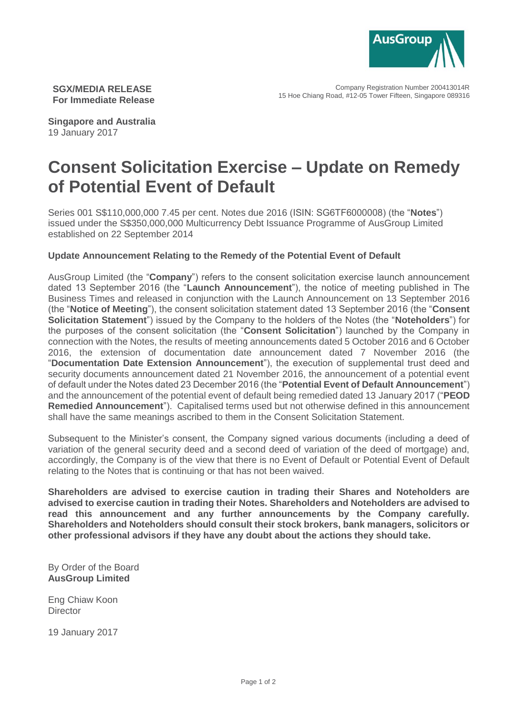

Company Registration Number 200413014R 15 Hoe Chiang Road, #12-05 Tower Fifteen, Singapore 089316

**SGX/MEDIA RELEASE For Immediate Release**

**Singapore and Australia** 19 January 2017

## **Consent Solicitation Exercise – Update on Remedy of Potential Event of Default**

Series 001 S\$110,000,000 7.45 per cent. Notes due 2016 (ISIN: SG6TF6000008) (the "**Notes**") issued under the S\$350,000,000 Multicurrency Debt Issuance Programme of AusGroup Limited established on 22 September 2014

## **Update Announcement Relating to the Remedy of the Potential Event of Default**

AusGroup Limited (the "**Company**") refers to the consent solicitation exercise launch announcement dated 13 September 2016 (the "**Launch Announcement**"), the notice of meeting published in The Business Times and released in conjunction with the Launch Announcement on 13 September 2016 (the "**Notice of Meeting**"), the consent solicitation statement dated 13 September 2016 (the "**Consent Solicitation Statement**") issued by the Company to the holders of the Notes (the "**Noteholders**") for the purposes of the consent solicitation (the "**Consent Solicitation**") launched by the Company in connection with the Notes, the results of meeting announcements dated 5 October 2016 and 6 October 2016, the extension of documentation date announcement dated 7 November 2016 (the "**Documentation Date Extension Announcement**"), the execution of supplemental trust deed and security documents announcement dated 21 November 2016, the announcement of a potential event of default under the Notes dated 23 December 2016 (the "**Potential Event of Default Announcement**") and the announcement of the potential event of default being remedied dated 13 January 2017 ("**PEOD Remedied Announcement**"). Capitalised terms used but not otherwise defined in this announcement shall have the same meanings ascribed to them in the Consent Solicitation Statement.

Subsequent to the Minister's consent, the Company signed various documents (including a deed of variation of the general security deed and a second deed of variation of the deed of mortgage) and, accordingly, the Company is of the view that there is no Event of Default or Potential Event of Default relating to the Notes that is continuing or that has not been waived.

**Shareholders are advised to exercise caution in trading their Shares and Noteholders are advised to exercise caution in trading their Notes. Shareholders and Noteholders are advised to read this announcement and any further announcements by the Company carefully. Shareholders and Noteholders should consult their stock brokers, bank managers, solicitors or other professional advisors if they have any doubt about the actions they should take.**

By Order of the Board **AusGroup Limited** 

Eng Chiaw Koon **Director** 

19 January 2017